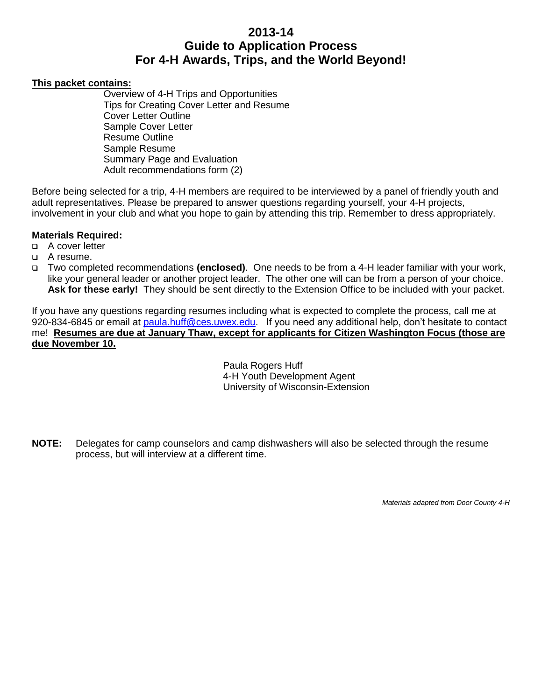# **2013-14 Guide to Application Process For 4-H Awards, Trips, and the World Beyond!**

### **This packet contains:**

Overview of 4-H Trips and Opportunities Tips for Creating Cover Letter and Resume Cover Letter Outline Sample Cover Letter Resume Outline Sample Resume Summary Page and Evaluation Adult recommendations form (2)

Before being selected for a trip, 4-H members are required to be interviewed by a panel of friendly youth and adult representatives. Please be prepared to answer questions regarding yourself, your 4-H projects, involvement in your club and what you hope to gain by attending this trip. Remember to dress appropriately.

### **Materials Required:**

- A cover letter
- A resume.
- Two completed recommendations **(enclosed)**. One needs to be from a 4-H leader familiar with your work, like your general leader or another project leader. The other one will can be from a person of your choice. **Ask for these early!** They should be sent directly to the Extension Office to be included with your packet.

If you have any questions regarding resumes including what is expected to complete the process, call me at 920-834-6845 or email at [paula.huff@ces.uwex.edu.](mailto:paula.huff@ces.uwex.edu) If you need any additional help, don't hesitate to contact me! **Resumes are due at January Thaw, except for applicants for Citizen Washington Focus (those are due November 10.**

> Paula Rogers Huff 4-H Youth Development Agent University of Wisconsin-Extension

**NOTE:** Delegates for camp counselors and camp dishwashers will also be selected through the resume process, but will interview at a different time.

*Materials adapted from Door County 4-H*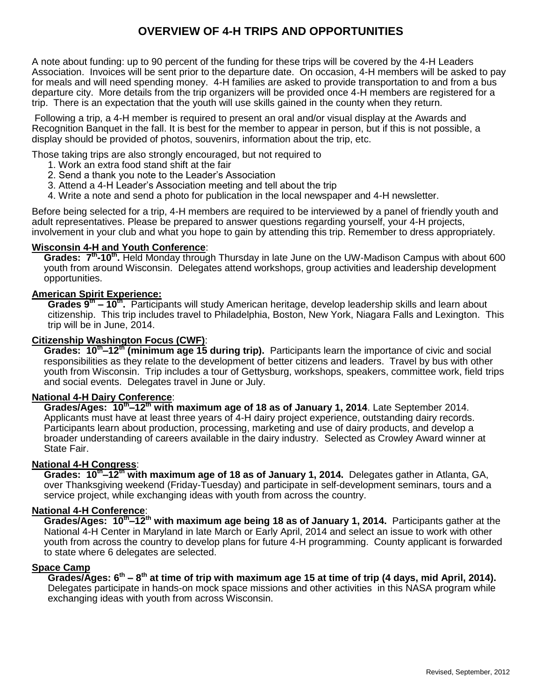## **OVERVIEW OF 4-H TRIPS AND OPPORTUNITIES**

A note about funding: up to 90 percent of the funding for these trips will be covered by the 4-H Leaders Association. Invoices will be sent prior to the departure date. On occasion, 4-H members will be asked to pay for meals and will need spending money. 4-H families are asked to provide transportation to and from a bus departure city. More details from the trip organizers will be provided once 4-H members are registered for a trip. There is an expectation that the youth will use skills gained in the county when they return.

Following a trip, a 4-H member is required to present an oral and/or visual display at the Awards and Recognition Banquet in the fall. It is best for the member to appear in person, but if this is not possible, a display should be provided of photos, souvenirs, information about the trip, etc.

Those taking trips are also strongly encouraged, but not required to

- 1. Work an extra food stand shift at the fair
- 2. Send a thank you note to the Leader's Association
- 3. Attend a 4-H Leader's Association meeting and tell about the trip
- 4. Write a note and send a photo for publication in the local newspaper and 4-H newsletter.

Before being selected for a trip, 4-H members are required to be interviewed by a panel of friendly youth and adult representatives. Please be prepared to answer questions regarding yourself, your 4-H projects, involvement in your club and what you hope to gain by attending this trip. Remember to dress appropriately.

### **Wisconsin 4-H and Youth Conference**:

Grades: 7<sup>th</sup>-10<sup>th</sup>. Held Monday through Thursday in late June on the UW-Madison Campus with about 600 youth from around Wisconsin. Delegates attend workshops, group activities and leadership development opportunities.

### **American Spirit Experience:**

**Grades 9th – 10th .** Participants will study American heritage, develop leadership skills and learn about citizenship. This trip includes travel to Philadelphia, Boston, New York, Niagara Falls and Lexington. This trip will be in June, 2014.

### **Citizenship Washington Focus (CWF)**:

**Grades: 10th –12th (minimum age 15 during trip).** Participants learn the importance of civic and social responsibilities as they relate to the development of better citizens and leaders. Travel by bus with other youth from Wisconsin. Trip includes a tour of Gettysburg, workshops, speakers, committee work, field trips and social events. Delegates travel in June or July.

#### **National 4-H Dairy Conference**:

**Grades/Ages: 10th –12th with maximum age of 18 as of January 1, 2014**. Late September 2014. Applicants must have at least three years of 4-H dairy project experience, outstanding dairy records. Participants learn about production, processing, marketing and use of dairy products, and develop a broader understanding of careers available in the dairy industry. Selected as Crowley Award winner at State Fair.

#### **National 4-H Congress**:

**Grades: 10th –12th with maximum age of 18 as of January 1, 2014.** Delegates gather in Atlanta, GA, over Thanksgiving weekend (Friday-Tuesday) and participate in self-development seminars, tours and a service project, while exchanging ideas with youth from across the country.

### **National 4-H Conference**:

**Grades/Ages: 10th –12th with maximum age being 18 as of January 1, 2014.** Participants gather at the National 4-H Center in Maryland in late March or Early April, 2014 and select an issue to work with other youth from across the country to develop plans for future 4-H programming. County applicant is forwarded to state where 6 delegates are selected.

#### **Space Camp**

**Grades/Ages: 6th – 8 th at time of trip with maximum age 15 at time of trip (4 days, mid April, 2014).** Delegates participate in hands-on mock space missions and other activities in this NASA program while exchanging ideas with youth from across Wisconsin.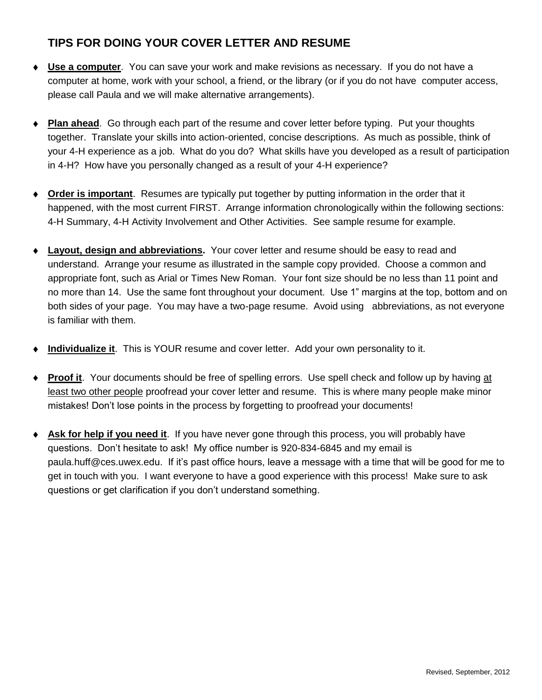# **TIPS FOR DOING YOUR COVER LETTER AND RESUME**

- **Use a computer**. You can save your work and make revisions as necessary. If you do not have a computer at home, work with your school, a friend, or the library (or if you do not have computer access, please call Paula and we will make alternative arrangements).
- **Plan ahead**. Go through each part of the resume and cover letter before typing. Put your thoughts together. Translate your skills into action-oriented, concise descriptions. As much as possible, think of your 4-H experience as a job. What do you do? What skills have you developed as a result of participation in 4-H? How have you personally changed as a result of your 4-H experience?
- **Order is important**. Resumes are typically put together by putting information in the order that it happened, with the most current FIRST. Arrange information chronologically within the following sections: 4-H Summary, 4-H Activity Involvement and Other Activities. See sample resume for example.
- **Layout, design and abbreviations.** Your cover letter and resume should be easy to read and understand. Arrange your resume as illustrated in the sample copy provided. Choose a common and appropriate font, such as Arial or Times New Roman. Your font size should be no less than 11 point and no more than 14. Use the same font throughout your document. Use 1" margins at the top, bottom and on both sides of your page. You may have a two-page resume. Avoid using abbreviations, as not everyone is familiar with them.
- **Individualize it**. This is YOUR resume and cover letter. Add your own personality to it.
- **Proof it**. Your documents should be free of spelling errors. Use spell check and follow up by having at least two other people proofread your cover letter and resume. This is where many people make minor mistakes! Don't lose points in the process by forgetting to proofread your documents!
- **Ask for help if you need it**. If you have never gone through this process, you will probably have questions. Don't hesitate to ask! My office number is 920-834-6845 and my email is paula.huff@ces.uwex.edu. If it's past office hours, leave a message with a time that will be good for me to get in touch with you. I want everyone to have a good experience with this process! Make sure to ask questions or get clarification if you don't understand something.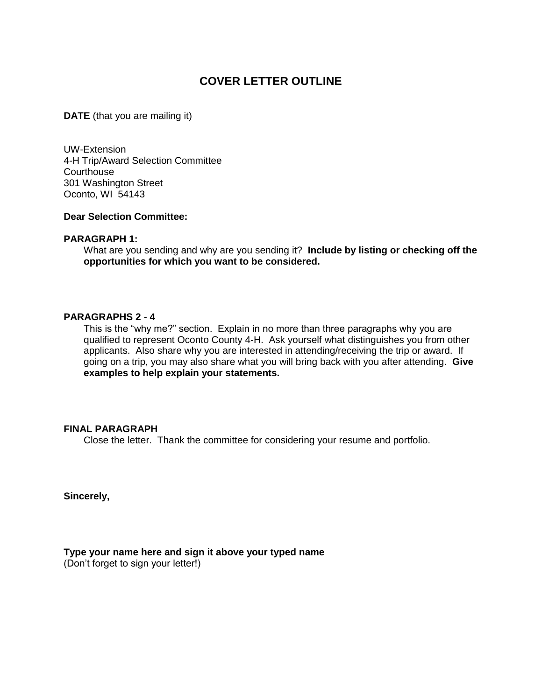## **COVER LETTER OUTLINE**

**DATE** (that you are mailing it)

UW-Extension 4-H Trip/Award Selection Committee **Courthouse** 301 Washington Street Oconto, WI 54143

#### **Dear Selection Committee:**

#### **PARAGRAPH 1:**

What are you sending and why are you sending it? **Include by listing or checking off the opportunities for which you want to be considered.**

#### **PARAGRAPHS 2 - 4**

This is the "why me?" section. Explain in no more than three paragraphs why you are qualified to represent Oconto County 4-H. Ask yourself what distinguishes you from other applicants. Also share why you are interested in attending/receiving the trip or award. If going on a trip, you may also share what you will bring back with you after attending. **Give examples to help explain your statements.**

### **FINAL PARAGRAPH**

Close the letter. Thank the committee for considering your resume and portfolio.

**Sincerely,**

**Type your name here and sign it above your typed name** (Don't forget to sign your letter!)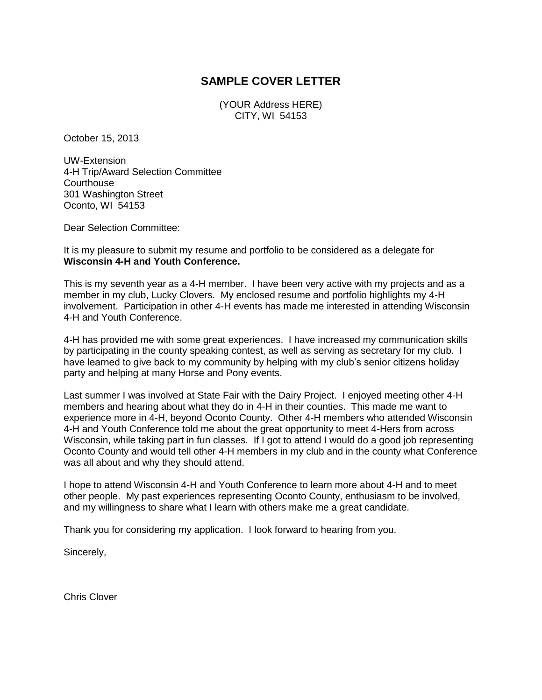## **SAMPLE COVER LETTER**

(YOUR Address HERE) CITY, WI 54153

October 15, 2013

UW-Extension 4-H Trip/Award Selection Committee **Courthouse** 301 Washington Street Oconto, WI 54153

Dear Selection Committee:

It is my pleasure to submit my resume and portfolio to be considered as a delegate for **Wisconsin 4-H and Youth Conference.**

This is my seventh year as a 4-H member. I have been very active with my projects and as a member in my club, Lucky Clovers. My enclosed resume and portfolio highlights my 4-H involvement. Participation in other 4-H events has made me interested in attending Wisconsin 4-H and Youth Conference.

4-H has provided me with some great experiences. I have increased my communication skills by participating in the county speaking contest, as well as serving as secretary for my club. I have learned to give back to my community by helping with my club's senior citizens holiday party and helping at many Horse and Pony events.

Last summer I was involved at State Fair with the Dairy Project. I enjoyed meeting other 4-H members and hearing about what they do in 4-H in their counties. This made me want to experience more in 4-H, beyond Oconto County. Other 4-H members who attended Wisconsin 4-H and Youth Conference told me about the great opportunity to meet 4-Hers from across Wisconsin, while taking part in fun classes. If I got to attend I would do a good job representing Oconto County and would tell other 4-H members in my club and in the county what Conference was all about and why they should attend.

I hope to attend Wisconsin 4-H and Youth Conference to learn more about 4-H and to meet other people. My past experiences representing Oconto County, enthusiasm to be involved, and my willingness to share what I learn with others make me a great candidate.

Thank you for considering my application. I look forward to hearing from you.

Sincerely,

Chris Clover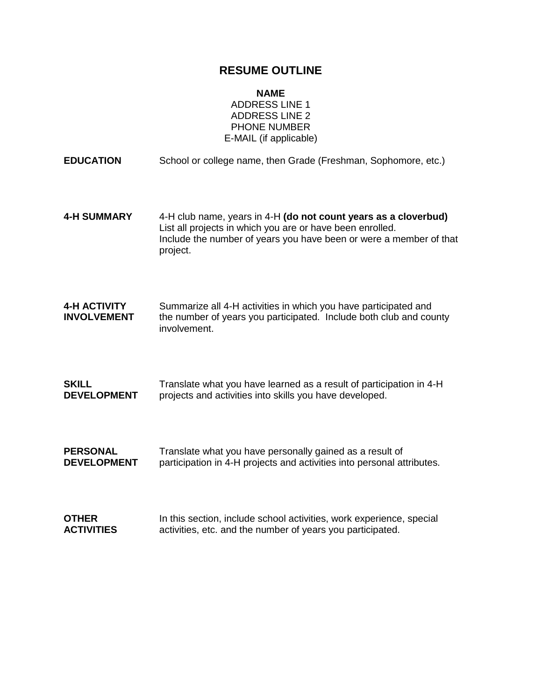## **RESUME OUTLINE**

**NAME**

ADDRESS LINE 1 ADDRESS LINE 2 PHONE NUMBER E-MAIL (if applicable)

| <b>EDUCATION</b>                          | School or college name, then Grade (Freshman, Sophomore, etc.)                                                                                                                                                 |
|-------------------------------------------|----------------------------------------------------------------------------------------------------------------------------------------------------------------------------------------------------------------|
| <b>4-H SUMMARY</b>                        | 4-H club name, years in 4-H (do not count years as a cloverbud)<br>List all projects in which you are or have been enrolled.<br>Include the number of years you have been or were a member of that<br>project. |
| <b>4-H ACTIVITY</b><br><b>INVOLVEMENT</b> | Summarize all 4-H activities in which you have participated and<br>the number of years you participated. Include both club and county<br>involvement.                                                          |
| <b>SKILL</b>                              | Translate what you have learned as a result of participation in 4-H                                                                                                                                            |
| <b>DEVELOPMENT</b>                        | projects and activities into skills you have developed.                                                                                                                                                        |
| <b>PERSONAL</b>                           | Translate what you have personally gained as a result of                                                                                                                                                       |
| <b>DEVELOPMENT</b>                        | participation in 4-H projects and activities into personal attributes.                                                                                                                                         |
| <b>OTHER</b>                              | In this section, include school activities, work experience, special                                                                                                                                           |
| <b>ACTIVITIES</b>                         | activities, etc. and the number of years you participated.                                                                                                                                                     |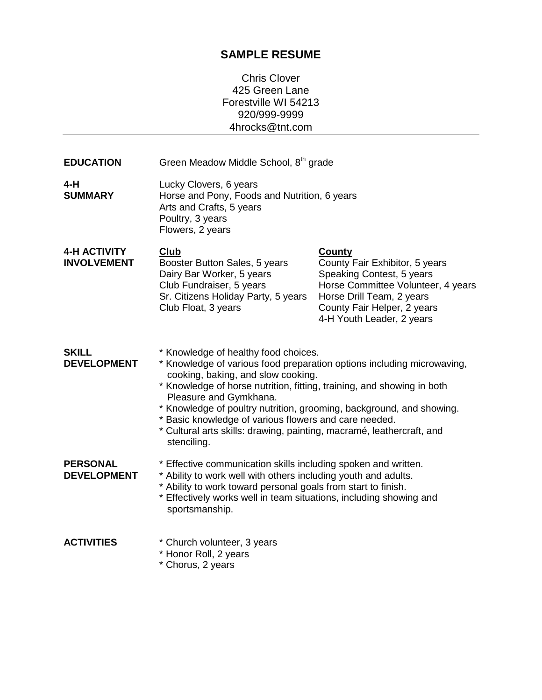# **SAMPLE RESUME**

Chris Clover 425 Green Lane Forestville WI 54213 920/999-9999 4hrocks@tnt.com

| <b>EDUCATION</b>                          | Green Meadow Middle School, 8 <sup>th</sup> grade                                                                                                                                                                                                                                                                                                                                                                                                                                 |                                                                                                                                                                                                             |  |  |
|-------------------------------------------|-----------------------------------------------------------------------------------------------------------------------------------------------------------------------------------------------------------------------------------------------------------------------------------------------------------------------------------------------------------------------------------------------------------------------------------------------------------------------------------|-------------------------------------------------------------------------------------------------------------------------------------------------------------------------------------------------------------|--|--|
| 4-H<br><b>SUMMARY</b>                     | Lucky Clovers, 6 years<br>Horse and Pony, Foods and Nutrition, 6 years<br>Arts and Crafts, 5 years<br>Poultry, 3 years<br>Flowers, 2 years                                                                                                                                                                                                                                                                                                                                        |                                                                                                                                                                                                             |  |  |
| <b>4-H ACTIVITY</b><br><b>INVOLVEMENT</b> | <b>Club</b><br>Booster Button Sales, 5 years<br>Dairy Bar Worker, 5 years<br>Club Fundraiser, 5 years<br>Sr. Citizens Holiday Party, 5 years<br>Club Float, 3 years                                                                                                                                                                                                                                                                                                               | <b>County</b><br>County Fair Exhibitor, 5 years<br>Speaking Contest, 5 years<br>Horse Committee Volunteer, 4 years<br>Horse Drill Team, 2 years<br>County Fair Helper, 2 years<br>4-H Youth Leader, 2 years |  |  |
| <b>SKILL</b><br><b>DEVELOPMENT</b>        | * Knowledge of healthy food choices.<br>* Knowledge of various food preparation options including microwaving,<br>cooking, baking, and slow cooking.<br>* Knowledge of horse nutrition, fitting, training, and showing in both<br>Pleasure and Gymkhana.<br>* Knowledge of poultry nutrition, grooming, background, and showing.<br>* Basic knowledge of various flowers and care needed.<br>* Cultural arts skills: drawing, painting, macramé, leathercraft, and<br>stenciling. |                                                                                                                                                                                                             |  |  |
| <b>PERSONAL</b><br><b>DEVELOPMENT</b>     | * Effective communication skills including spoken and written.<br>* Ability to work well with others including youth and adults.<br>* Ability to work toward personal goals from start to finish.<br>* Effectively works well in team situations, including showing and<br>sportsmanship.                                                                                                                                                                                         |                                                                                                                                                                                                             |  |  |
| <b>ACTIVITIES</b>                         | * Church volunteer, 3 years<br>* Honor Roll, 2 years<br>* Chorus, 2 years                                                                                                                                                                                                                                                                                                                                                                                                         |                                                                                                                                                                                                             |  |  |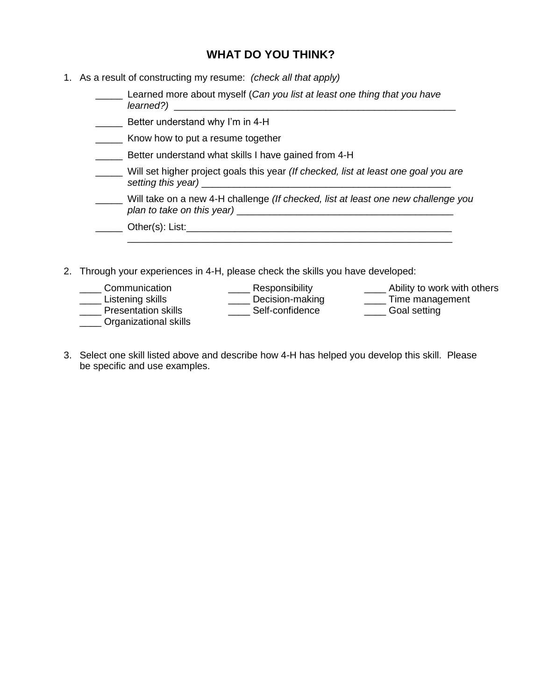## **WHAT DO YOU THINK?**

- 1. As a result of constructing my resume: *(check all that apply)*
	- \_\_\_\_\_ Learned more about myself (*Can you list at least one thing that you have learned?)* \_\_\_\_\_\_\_\_\_\_\_\_\_\_\_\_\_\_\_\_\_\_\_\_\_\_\_\_\_\_\_\_\_\_\_\_\_\_\_\_\_\_\_\_\_\_\_\_\_\_\_\_
	- **EXECUTE:** Better understand why I'm in 4-H
	- **EXECO** Know how to put a resume together
	- **\_\_\_\_\_** Better understand what skills I have gained from 4-H
	- \_\_\_\_\_ Will set higher project goals this year *(If checked, list at least one goal you are setting this year)* \_\_\_\_\_\_\_\_\_\_\_\_\_\_\_\_\_\_\_\_\_\_\_\_\_\_\_\_\_\_\_\_\_\_\_\_\_\_\_\_\_\_\_\_\_\_
	- \_\_\_\_\_ Will take on a new 4-H challenge *(If checked, list at least one new challenge you plan to take on this year)* \_\_\_\_\_\_\_\_\_\_\_\_\_\_\_\_\_\_\_\_\_\_\_\_\_\_\_\_\_\_\_\_\_\_\_\_\_\_\_\_

\_\_\_\_\_\_\_\_\_\_\_\_\_\_\_\_\_\_\_\_\_\_\_\_\_\_\_\_\_\_\_\_\_\_\_\_\_\_\_\_\_\_\_\_\_\_\_\_\_\_\_\_\_\_\_\_\_\_\_\_

| Other(s): | $-1$<br>டு. |  |  |  |  |
|-----------|-------------|--|--|--|--|
|           |             |  |  |  |  |

- 2. Through your experiences in 4-H, please check the skills you have developed:
	- \_\_\_\_ Communication
- \_\_\_\_ Responsibility
- \_\_\_\_ Listening skills
- \_\_\_\_ Presentation skills
- \_\_\_\_ Organizational skills
- \_\_\_\_ Decision-making \_\_\_\_ Self-confidence
- **\_\_\_\_\_** Ability to work with others \_\_\_\_ Time management
- \_\_\_\_ Goal setting
- 3. Select one skill listed above and describe how 4-H has helped you develop this skill. Please be specific and use examples.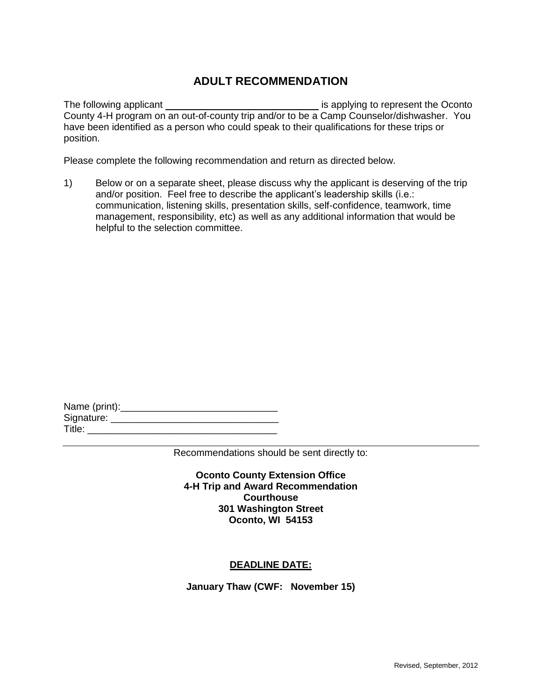## **ADULT RECOMMENDATION**

The following applicant is applying to represent the Oconto County 4-H program on an out-of-county trip and/or to be a Camp Counselor/dishwasher. You have been identified as a person who could speak to their qualifications for these trips or position.

Please complete the following recommendation and return as directed below.

1) Below or on a separate sheet, please discuss why the applicant is deserving of the trip and/or position. Feel free to describe the applicant's leadership skills (i.e.: communication, listening skills, presentation skills, self-confidence, teamwork, time management, responsibility, etc) as well as any additional information that would be helpful to the selection committee.

| Name (print): |  |
|---------------|--|
| Signature:    |  |
| Title:        |  |

Recommendations should be sent directly to:

**Oconto County Extension Office 4-H Trip and Award Recommendation Courthouse 301 Washington Street Oconto, WI 54153**

### **DEADLINE DATE:**

**January Thaw (CWF: November 15)**